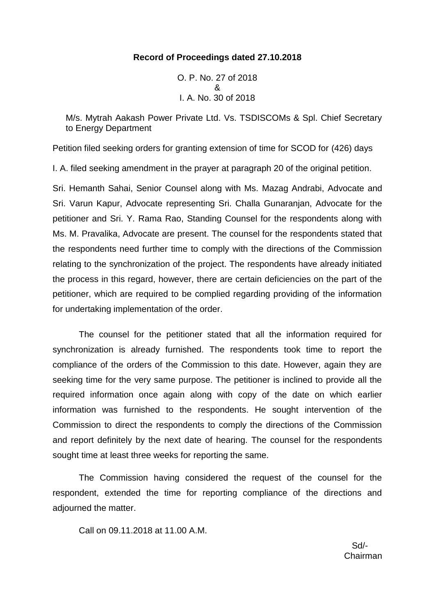## **Record of Proceedings dated 27.10.2018**

O. P. No. 27 of 2018 & I. A. No. 30 of 2018

M/s. Mytrah Aakash Power Private Ltd. Vs. TSDISCOMs & Spl. Chief Secretary to Energy Department

Petition filed seeking orders for granting extension of time for SCOD for (426) days

I. A. filed seeking amendment in the prayer at paragraph 20 of the original petition.

Sri. Hemanth Sahai, Senior Counsel along with Ms. Mazag Andrabi, Advocate and Sri. Varun Kapur, Advocate representing Sri. Challa Gunaranjan, Advocate for the petitioner and Sri. Y. Rama Rao, Standing Counsel for the respondents along with Ms. M. Pravalika, Advocate are present. The counsel for the respondents stated that the respondents need further time to comply with the directions of the Commission relating to the synchronization of the project. The respondents have already initiated the process in this regard, however, there are certain deficiencies on the part of the petitioner, which are required to be complied regarding providing of the information for undertaking implementation of the order.

The counsel for the petitioner stated that all the information required for synchronization is already furnished. The respondents took time to report the compliance of the orders of the Commission to this date. However, again they are seeking time for the very same purpose. The petitioner is inclined to provide all the required information once again along with copy of the date on which earlier information was furnished to the respondents. He sought intervention of the Commission to direct the respondents to comply the directions of the Commission and report definitely by the next date of hearing. The counsel for the respondents sought time at least three weeks for reporting the same.

The Commission having considered the request of the counsel for the respondent, extended the time for reporting compliance of the directions and adjourned the matter.

Call on 09.11.2018 at 11.00 A.M.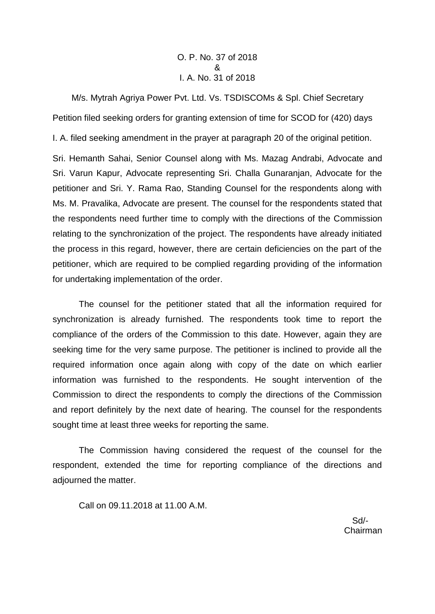## O. P. No. 37 of 2018 & I. A. No. 31 of 2018

M/s. Mytrah Agriya Power Pvt. Ltd. Vs. TSDISCOMs & Spl. Chief Secretary Petition filed seeking orders for granting extension of time for SCOD for (420) days

I. A. filed seeking amendment in the prayer at paragraph 20 of the original petition.

Sri. Hemanth Sahai, Senior Counsel along with Ms. Mazag Andrabi, Advocate and Sri. Varun Kapur, Advocate representing Sri. Challa Gunaranjan, Advocate for the petitioner and Sri. Y. Rama Rao, Standing Counsel for the respondents along with Ms. M. Pravalika, Advocate are present. The counsel for the respondents stated that the respondents need further time to comply with the directions of the Commission relating to the synchronization of the project. The respondents have already initiated the process in this regard, however, there are certain deficiencies on the part of the petitioner, which are required to be complied regarding providing of the information for undertaking implementation of the order.

The counsel for the petitioner stated that all the information required for synchronization is already furnished. The respondents took time to report the compliance of the orders of the Commission to this date. However, again they are seeking time for the very same purpose. The petitioner is inclined to provide all the required information once again along with copy of the date on which earlier information was furnished to the respondents. He sought intervention of the Commission to direct the respondents to comply the directions of the Commission and report definitely by the next date of hearing. The counsel for the respondents sought time at least three weeks for reporting the same.

The Commission having considered the request of the counsel for the respondent, extended the time for reporting compliance of the directions and adjourned the matter.

Call on 09.11.2018 at 11.00 A.M.

 Sd/- Chairman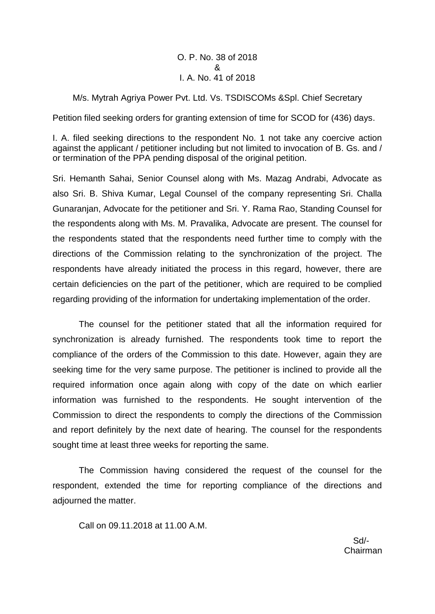## O. P. No. 38 of 2018 & I. A. No. 41 of 2018

## M/s. Mytrah Agriya Power Pvt. Ltd. Vs. TSDISCOMs &Spl. Chief Secretary

Petition filed seeking orders for granting extension of time for SCOD for (436) days.

I. A. filed seeking directions to the respondent No. 1 not take any coercive action against the applicant / petitioner including but not limited to invocation of B. Gs. and / or termination of the PPA pending disposal of the original petition.

Sri. Hemanth Sahai, Senior Counsel along with Ms. Mazag Andrabi, Advocate as also Sri. B. Shiva Kumar, Legal Counsel of the company representing Sri. Challa Gunaranjan, Advocate for the petitioner and Sri. Y. Rama Rao, Standing Counsel for the respondents along with Ms. M. Pravalika, Advocate are present. The counsel for the respondents stated that the respondents need further time to comply with the directions of the Commission relating to the synchronization of the project. The respondents have already initiated the process in this regard, however, there are certain deficiencies on the part of the petitioner, which are required to be complied regarding providing of the information for undertaking implementation of the order.

The counsel for the petitioner stated that all the information required for synchronization is already furnished. The respondents took time to report the compliance of the orders of the Commission to this date. However, again they are seeking time for the very same purpose. The petitioner is inclined to provide all the required information once again along with copy of the date on which earlier information was furnished to the respondents. He sought intervention of the Commission to direct the respondents to comply the directions of the Commission and report definitely by the next date of hearing. The counsel for the respondents sought time at least three weeks for reporting the same.

The Commission having considered the request of the counsel for the respondent, extended the time for reporting compliance of the directions and adjourned the matter.

Call on 09.11.2018 at 11.00 A.M.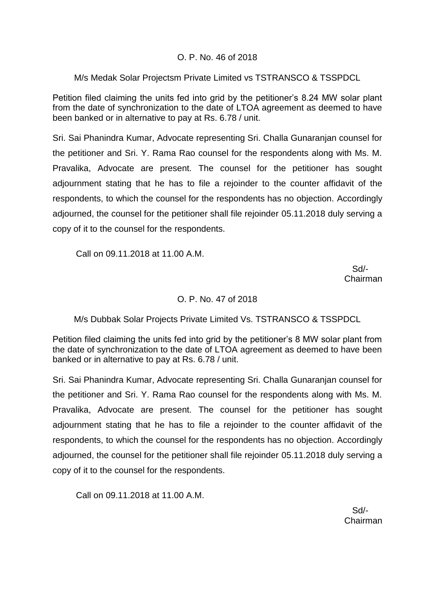## O. P. No. 46 of 2018

## M/s Medak Solar Projectsm Private Limited vs TSTRANSCO & TSSPDCL

Petition filed claiming the units fed into grid by the petitioner's 8.24 MW solar plant from the date of synchronization to the date of LTOA agreement as deemed to have been banked or in alternative to pay at Rs. 6.78 / unit.

Sri. Sai Phanindra Kumar, Advocate representing Sri. Challa Gunaranjan counsel for the petitioner and Sri. Y. Rama Rao counsel for the respondents along with Ms. M. Pravalika, Advocate are present. The counsel for the petitioner has sought adjournment stating that he has to file a rejoinder to the counter affidavit of the respondents, to which the counsel for the respondents has no objection. Accordingly adjourned, the counsel for the petitioner shall file rejoinder 05.11.2018 duly serving a copy of it to the counsel for the respondents.

Call on 09.11.2018 at 11.00 A.M.

 Sd/- Chairman

## O. P. No. 47 of 2018

M/s Dubbak Solar Projects Private Limited Vs. TSTRANSCO & TSSPDCL

Petition filed claiming the units fed into grid by the petitioner's 8 MW solar plant from the date of synchronization to the date of LTOA agreement as deemed to have been banked or in alternative to pay at Rs. 6.78 / unit.

Sri. Sai Phanindra Kumar, Advocate representing Sri. Challa Gunaranjan counsel for the petitioner and Sri. Y. Rama Rao counsel for the respondents along with Ms. M. Pravalika, Advocate are present. The counsel for the petitioner has sought adjournment stating that he has to file a rejoinder to the counter affidavit of the respondents, to which the counsel for the respondents has no objection. Accordingly adjourned, the counsel for the petitioner shall file rejoinder 05.11.2018 duly serving a copy of it to the counsel for the respondents.

Call on 09.11.2018 at 11.00 A.M.

 Sd/- Chairman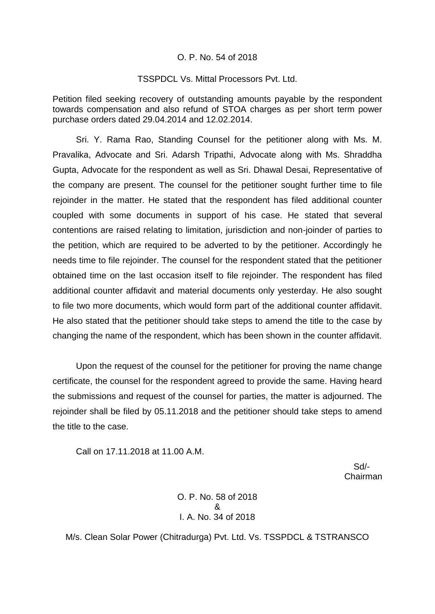#### O. P. No. 54 of 2018

#### TSSPDCL Vs. Mittal Processors Pvt. Ltd.

Petition filed seeking recovery of outstanding amounts payable by the respondent towards compensation and also refund of STOA charges as per short term power purchase orders dated 29.04.2014 and 12.02.2014.

Sri. Y. Rama Rao, Standing Counsel for the petitioner along with Ms. M. Pravalika, Advocate and Sri. Adarsh Tripathi, Advocate along with Ms. Shraddha Gupta, Advocate for the respondent as well as Sri. Dhawal Desai, Representative of the company are present. The counsel for the petitioner sought further time to file rejoinder in the matter. He stated that the respondent has filed additional counter coupled with some documents in support of his case. He stated that several contentions are raised relating to limitation, jurisdiction and non-joinder of parties to the petition, which are required to be adverted to by the petitioner. Accordingly he needs time to file rejoinder. The counsel for the respondent stated that the petitioner obtained time on the last occasion itself to file rejoinder. The respondent has filed additional counter affidavit and material documents only yesterday. He also sought to file two more documents, which would form part of the additional counter affidavit. He also stated that the petitioner should take steps to amend the title to the case by changing the name of the respondent, which has been shown in the counter affidavit.

Upon the request of the counsel for the petitioner for proving the name change certificate, the counsel for the respondent agreed to provide the same. Having heard the submissions and request of the counsel for parties, the matter is adjourned. The rejoinder shall be filed by 05.11.2018 and the petitioner should take steps to amend the title to the case.

Call on 17.11.2018 at 11.00 A.M.

 Sd/- Chairman

> O. P. No. 58 of 2018 & I. A. No. 34 of 2018

M/s. Clean Solar Power (Chitradurga) Pvt. Ltd. Vs. TSSPDCL & TSTRANSCO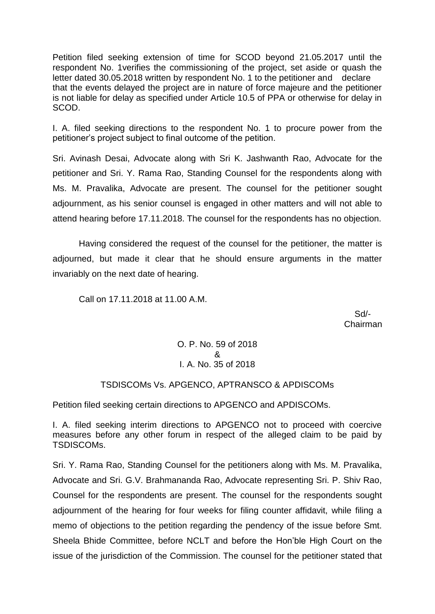Petition filed seeking extension of time for SCOD beyond 21.05.2017 until the respondent No. 1verifies the commissioning of the project, set aside or quash the letter dated 30.05.2018 written by respondent No. 1 to the petitioner and declare that the events delayed the project are in nature of force majeure and the petitioner is not liable for delay as specified under Article 10.5 of PPA or otherwise for delay in SCOD.

I. A. filed seeking directions to the respondent No. 1 to procure power from the petitioner's project subject to final outcome of the petition.

Sri. Avinash Desai, Advocate along with Sri K. Jashwanth Rao, Advocate for the petitioner and Sri. Y. Rama Rao, Standing Counsel for the respondents along with Ms. M. Pravalika, Advocate are present. The counsel for the petitioner sought adjournment, as his senior counsel is engaged in other matters and will not able to attend hearing before 17.11.2018. The counsel for the respondents has no objection.

Having considered the request of the counsel for the petitioner, the matter is adjourned, but made it clear that he should ensure arguments in the matter invariably on the next date of hearing.

Call on 17.11.2018 at 11.00 A.M.

 Sd/- Chairman

> O. P. No. 59 of 2018 & I. A. No. 35 of 2018

# TSDISCOMs Vs. APGENCO, APTRANSCO & APDISCOMs

Petition filed seeking certain directions to APGENCO and APDISCOMs.

I. A. filed seeking interim directions to APGENCO not to proceed with coercive measures before any other forum in respect of the alleged claim to be paid by TSDISCOMs.

Sri. Y. Rama Rao, Standing Counsel for the petitioners along with Ms. M. Pravalika, Advocate and Sri. G.V. Brahmananda Rao, Advocate representing Sri. P. Shiv Rao, Counsel for the respondents are present. The counsel for the respondents sought adjournment of the hearing for four weeks for filing counter affidavit, while filing a memo of objections to the petition regarding the pendency of the issue before Smt. Sheela Bhide Committee, before NCLT and before the Hon'ble High Court on the issue of the jurisdiction of the Commission. The counsel for the petitioner stated that